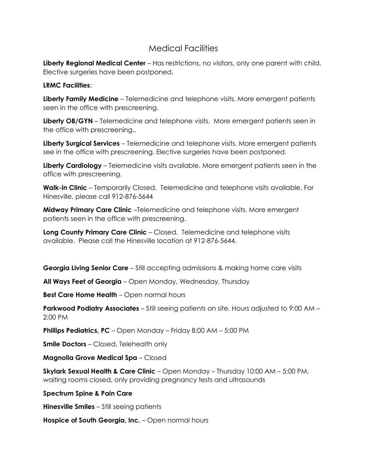## Medical Facilities

**Liberty Regional Medical Center** – Has restrictions, no visitors, only one parent with child. Elective surgeries have been postponed.

## **LRMC Facilities**:

**Liberty Family Medicine** – Telemedicine and telephone visits. More emergent patients seen in the office with prescreening.

**Liberty OB/GYN** – Telemedicine and telephone visits. More emergent patients seen in the office with prescreening..

**Liberty Surgical Services** – Telemedicine and telephone visits. More emergent patients see in the office with prescreening. Elective surgeries have been postponed.

**Liberty Cardiology** – Telemedicine visits available. More emergent patients seen in the office with prescreening.

**Walk-in Clinic** – Temporarily Closed. Telemedicine and telephone visits available. For Hinesville, please call 912-876-5644

**Midway Primary Care Clinic** –Telemedicine and telephone visits. More emergent patients seen in the office with prescreening.

**Long County Primary Care Clinic** – Closed. Telemedicine and telephone visits available. Please call the Hinesville location at 912-876-5644.

**Georgia Living Senior Care** – Still accepting admissions & making home care visits

**All Ways Feet of Georgia** – Open Monday, Wednesday, Thursday

**Best Care Home Health** – Open normal hours

**Parkwood Podiatry Associates** – Still seeing patients on site. Hours adjusted to 9:00 AM – 2:00 PM

**Phillips Pediatrics, PC** – Open Monday – Friday 8:00 AM – 5:00 PM

**Smile Doctors** – Closed, Telehealth only

**Magnolia Grove Medical Spa** – Closed

**Skylark Sexual Health & Care Clinic** – Open Monday – Thursday 10:00 AM – 5:00 PM, waiting rooms closed, only providing pregnancy tests and ultrasounds

**Spectrum Spine & Pain Care** 

**Hinesville Smiles** – Still seeing patients

**Hospice of South Georgia, Inc.** – Open normal hours